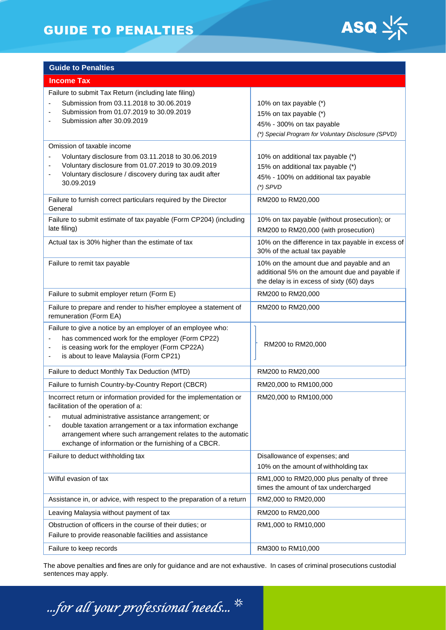# GUIDE TO PENALTIES ASQ  $\frac{1}{2}$



| <b>Guide to Penalties</b>                                                                                                                                                                                                                                                                                                                         |                                                                                                                                         |
|---------------------------------------------------------------------------------------------------------------------------------------------------------------------------------------------------------------------------------------------------------------------------------------------------------------------------------------------------|-----------------------------------------------------------------------------------------------------------------------------------------|
| <b>Income Tax</b>                                                                                                                                                                                                                                                                                                                                 |                                                                                                                                         |
| Failure to submit Tax Return (including late filing)<br>Submission from 03.11.2018 to 30.06.2019<br>Submission from 01.07.2019 to 30.09.2019<br>Submission after 30.09.2019                                                                                                                                                                       | 10% on tax payable (*)<br>15% on tax payable (*)<br>45% - 300% on tax payable<br>(*) Special Program for Voluntary Disclosure (SPVD)    |
| Omission of taxable income<br>Voluntary disclosure from 03.11.2018 to 30.06.2019<br>Voluntary disclosure from 01.07.2019 to 30.09.2019<br>Voluntary disclosure / discovery during tax audit after<br>$\overline{\phantom{a}}$<br>30.09.2019                                                                                                       | 10% on additional tax payable (*)<br>15% on additional tax payable (*)<br>45% - 100% on additional tax payable<br>$(*)$ SPVD            |
| Failure to furnish correct particulars required by the Director<br>General                                                                                                                                                                                                                                                                        | RM200 to RM20,000                                                                                                                       |
| Failure to submit estimate of tax payable (Form CP204) (including<br>late filing)                                                                                                                                                                                                                                                                 | 10% on tax payable (without prosecution); or<br>RM200 to RM20,000 (with prosecution)                                                    |
| Actual tax is 30% higher than the estimate of tax                                                                                                                                                                                                                                                                                                 | 10% on the difference in tax payable in excess of<br>30% of the actual tax payable                                                      |
| Failure to remit tax payable                                                                                                                                                                                                                                                                                                                      | 10% on the amount due and payable and an<br>additional 5% on the amount due and payable if<br>the delay is in excess of sixty (60) days |
| Failure to submit employer return (Form E)                                                                                                                                                                                                                                                                                                        | RM200 to RM20,000                                                                                                                       |
| Failure to prepare and render to his/her employee a statement of<br>remuneration (Form EA)                                                                                                                                                                                                                                                        | RM200 to RM20,000                                                                                                                       |
| Failure to give a notice by an employer of an employee who:<br>has commenced work for the employer (Form CP22)<br>is ceasing work for the employer (Form CP22A)<br>is about to leave Malaysia (Form CP21)                                                                                                                                         | RM200 to RM20,000                                                                                                                       |
| Failure to deduct Monthly Tax Deduction (MTD)                                                                                                                                                                                                                                                                                                     | RM200 to RM20,000                                                                                                                       |
| Failure to furnish Country-by-Country Report (CBCR)                                                                                                                                                                                                                                                                                               | RM20,000 to RM100,000                                                                                                                   |
| Incorrect return or information provided for the implementation or<br>facilitation of the operation of a:<br>mutual administrative assistance arrangement; or<br>double taxation arrangement or a tax information exchange<br>arrangement where such arrangement relates to the automatic<br>exchange of information or the furnishing of a CBCR. | RM20,000 to RM100,000                                                                                                                   |
| Failure to deduct withholding tax                                                                                                                                                                                                                                                                                                                 | Disallowance of expenses; and<br>10% on the amount of withholding tax                                                                   |
| Wilful evasion of tax                                                                                                                                                                                                                                                                                                                             | RM1,000 to RM20,000 plus penalty of three<br>times the amount of tax undercharged                                                       |
| Assistance in, or advice, with respect to the preparation of a return                                                                                                                                                                                                                                                                             | RM2,000 to RM20,000                                                                                                                     |
| Leaving Malaysia without payment of tax                                                                                                                                                                                                                                                                                                           | RM200 to RM20,000                                                                                                                       |
| Obstruction of officers in the course of their duties; or<br>Failure to provide reasonable facilities and assistance                                                                                                                                                                                                                              | RM1,000 to RM10,000                                                                                                                     |
| Failure to keep records                                                                                                                                                                                                                                                                                                                           | RM300 to RM10,000                                                                                                                       |

The above penalties and fines are only for guidance and are not exhaustive. In cases of criminal prosecutions custodial sentences may apply.

...for all your professional needs...  $\frac{4}{3}$